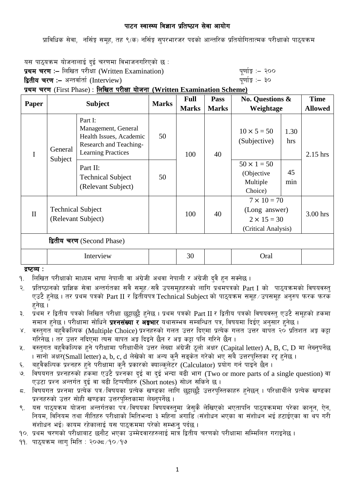प्राविधिक सेवा, नर्सिङ्ग समृह, तह ९(क) नर्सिङ्ग सुपरभारजर पदको आन्तरिक प्रतियोगितात्मक परीक्षाको पाठुयक्रम

यस पाठ्यक्रम योजनालाई दुई चरणमा विभाजनगरिएको छ :

प्रथम चरण :- लिखित परीक्षा (Written Examination)  $\frac{d}{dx}$  and  $\frac{d}{dx}$  and  $\frac{d}{dx}$  are  $\frac{d}{dx}$ 

द्वितीय चरण :– अन्तर्वार्ता (Interview) katalactic metal metal metal metal which we have the set of  $\mathbf{q}$ 

प्रथम चरण (First Phase) : लिखित परीक्षा योजना (Written Examination Scheme)

| <b>Paper</b>               | <b>Subject</b>                                 |                                                                                                                  | <b>Marks</b> | <b>Full</b>  | Pass         | No. Questions &                                                                  |             | <b>Time</b>    |
|----------------------------|------------------------------------------------|------------------------------------------------------------------------------------------------------------------|--------------|--------------|--------------|----------------------------------------------------------------------------------|-------------|----------------|
|                            |                                                |                                                                                                                  |              | <b>Marks</b> | <b>Marks</b> | Weightage                                                                        |             | <b>Allowed</b> |
| I                          | General<br>Subject                             | Part I:<br>Management, General<br>Health Issues, Academic<br>Research and Teaching-<br><b>Learning Practices</b> | 50           | 100          | 40           | $10 \times 5 = 50$<br>(Subjective)                                               | 1.30<br>hrs | 2.15 hrs       |
|                            |                                                | Part II:<br><b>Technical Subject</b><br>(Relevant Subject)                                                       | 50           |              |              | $50 \times 1 = 50$<br>(Objective<br>Multiple<br>Choice)                          | 45<br>min   |                |
| $\mathbf{I}$               | <b>Technical Subject</b><br>(Relevant Subject) |                                                                                                                  |              | 100          | 40           | $7 \times 10 = 70$<br>(Long answer)<br>$2 \times 15 = 30$<br>(Critical Analysis) |             | 3.00 hrs       |
| द्वितीय चरण (Second Phase) |                                                |                                                                                                                  |              |              |              |                                                                                  |             |                |
|                            | Interview                                      |                                                                                                                  |              | 30           |              | Oral                                                                             |             |                |

द्रष्टव्य :

9. लिखित परीक्षाको माध्यम भाषा नेपाली वा अंग्रेजी अथवा नेपाली र अंग्रेजी दुवै हुन सक्नेछ ।

२. प्रतिष्ठानको प्राज्ञिक सेवा अन्तर्गतका सवै समुह सवै उपसमुहहरुको लागि प्रथमपत्रको Part I को पाठ्यक्रमको विषयवस्त् एउटै हुनेछ । तर प्रथम पत्रको Part II र द्वितीयपत्र Technical Subject को पाठ्यक्रम समूह ⁄ उपसमूह अनुरुप फरक फरक  $\overline{\mathsf{B}}$ नेछ ।

३. प्रथम र द्वितीय पत्रको लिखित परीक्षा छट्टाछट्टै हनेछ । प्रथम पत्रको Part II र द्वितीय पत्रको विषयवस्त् एउटै समूहको हकमा समान हनेछ । परीक्षामा सोधिने **प्रश्नसंख्या र अङ्गभार** यथासम्भव सम्बन्धित पत्र, विषयमा दिईए अनुसार हुनेछ ।

- ४. वस्तगत बहवैकल्पिक (Multiple Choice) प्रश्नहरुको गलत उत्तर दिएमा प्रत्येक गलत उत्तर बापत २० प्रतिशत अङ्ग कट्टा गरिनेछ । तर उत्तर नदिएमा त्यस बापत अङ्ग दिइने छैन र अङ्ग कट्टा पनि गरिने छैन ।
- ५. वस्तुगत बहुवैकल्पिक हुने परीक्षामा परीक्षार्थीले उत्तर लेख्दा अंग्रेजी ठूलो अक्षर (Capital letter) A, B, C, D मा लेख्नुपर्नेछ . । सानो अक्षर(Small letter) a, b, c, d लेखेको वा अन्य कनै सड़केत गरेको भए सबै उत्तरपस्तिका रद्द हुनेछ ।
- ६. वहवैकल्पिक प्रश्नहरु हुने परीक्षामा कनै प्रकारको क्याल्कलेटर (Calculator) प्रयोग गर्न पाइने छैन ।
- $\sim$  विषयगत प्रश्नहरुको हकमा एउटै प्रश्नका दुई वा दुई भन्दा बढी भाग (Two or more parts of a single question) वा एउटा प्रश्न अन्तर्गत दई वा बढी टिप्पणीहरु (Short notes) सोध्न सकिने छ।
- ८. विषयगत प्रश्नमा प्रत्येक पत्र विषयका प्रत्येक खण्डका लागि छट्टाछट्टै उत्तरपुस्तिकाहरु हुनेछन् । परिक्षार्थीले प्रत्येक खण्डका प्रश्नहरुको उत्तर सोही खण्डका उत्तरपस्तिकामा लेख्नपर्नेछ।
- ९. वस पाठ्यक्रम योजना अन्तर्गतका पत्रे $/$ विषयका विषयवस्तुमा जेसुकै लेखिएको भएतापनि पाठ्यक्रममा परेका कानून, ऐन, नियम, विनियम तथा नीतिहरु परीक्षाको मितिभन्दा ३ महिना अगाडि (संशोधन भएका वा संशोधन भई हटाईएका वा थप गरी संशोधन भई) कायम रहेकालाई यस पाठकममा परेको सम्भन पर्दछ ।

<u>१</u>०. प्रथम चरणको परीक्षाबाट छनौट भएका उम्मेदवारहरुलाई मात्र द्वितीय चरणको परीक्षामा सम्मिलित गराइनेछ ।

११. पाठयक्रम लाग मिति : २०७८ ⁄१० ⁄१७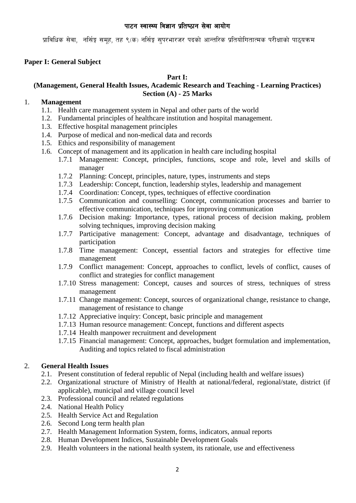प्राविधिक सेवा, नर्सिङ्ग समूह, तह ९(क) नर्सिङ्ग सुपरभारजर पदको आन्तरिक प्रतियोगितात्मक परीक्षाको पाठुयक्रम

# **Paper I: General Subject**

### **Part I:**

# **(Management, General Health Issues, Academic Research and Teaching - Learning Practices) Section (A) - 25 Marks**

## 1. **Management**

- 1.1. Health care management system in Nepal and other parts of the world
- 1.2. Fundamental principles of healthcare institution and hospital management.
- 1.3. Effective hospital management principles
- 1.4. Purpose of medical and non-medical data and records
- 1.5. Ethics and responsibility of management
- 1.6. Concept of management and its application in health care including hospital
	- 1.7.1 Management: Concept, principles, functions, scope and role, level and skills of manager
	- 1.7.2 Planning: Concept, principles, nature, types, instruments and steps
	- 1.7.3 Leadership: Concept, function, leadership styles, leadership and management
	- 1.7.4 Coordination: Concept, types, techniques of effective coordination
	- 1.7.5 Communication and counselling: Concept, communication processes and barrier to effective communication, techniques for improving communication
	- 1.7.6 Decision making: Importance, types, rational process of decision making, problem solving techniques, improving decision making
	- 1.7.7 Participative management: Concept, advantage and disadvantage, techniques of participation
	- 1.7.8 Time management: Concept, essential factors and strategies for effective time management
	- 1.7.9 Conflict management: Concept, approaches to conflict, levels of conflict, causes of conflict and strategies for conflict management
	- 1.7.10 Stress management: Concept, causes and sources of stress, techniques of stress management
	- 1.7.11 Change management: Concept, sources of organizational change, resistance to change, management of resistance to change
	- 1.7.12 Appreciative inquiry: Concept, basic principle and management
	- 1.7.13 Human resource management: Concept, functions and different aspects
	- 1.7.14 Health manpower recruitment and development
	- 1.7.15 Financial management: Concept, approaches, budget formulation and implementation, Auditing and topics related to fiscal administration

## 2. **General Health Issues**

- 2.1. Present constitution of federal republic of Nepal (including health and welfare issues)
- 2.2. Organizational structure of Ministry of Health at national/federal, regional/state, district (if applicable), municipal and village council level
- 2.3. Professional council and related regulations
- 2.4. National Health Policy
- 2.5. Health Service Act and Regulation
- 2.6. Second Long term health plan
- 2.7. Health Management Information System, forms, indicators, annual reports
- 2.8. Human Development Indices, Sustainable Development Goals
- 2.9. Health volunteers in the national health system, its rationale, use and effectiveness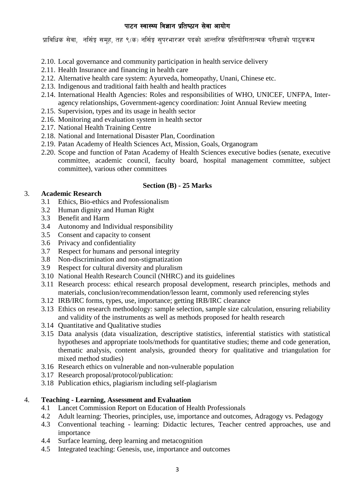प्राविधिक सेवा, नर्सिङ्ग समूह, तह ९(क) नर्सिङ्ग सुपरभारजर पदको आन्तरिक प्रतियोगितात्मक परीक्षाको पाठुयक्रम

- 2.10. Local governance and community participation in health service delivery
- 2.11. Health Insurance and financing in health care
- 2.12. Alternative health care system: Ayurveda, homeopathy, Unani, Chinese etc.
- 2.13. Indigenous and traditional faith health and health practices
- 2.14. International Health Agencies: Roles and responsibilities of WHO, UNICEF, UNFPA, Interagency relationships, Government-agency coordination: Joint Annual Review meeting
- 2.15. Supervision, types and its usage in health sector
- 2.16. Monitoring and evaluation system in health sector
- 2.17. National Health Training Centre
- 2.18. National and International Disaster Plan, Coordination
- 2.19. Patan Academy of Health Sciences Act, Mission, Goals, Organogram
- 2.20. Scope and function of Patan Academy of Health Sciences executive bodies (senate, executive committee, academic council, faculty board, hospital management committee, subject committee), various other committees

## **Section (B) - 25 Marks**

## 3. **Academic Research**

- 3.1 Ethics, Bio-ethics and Professionalism
- 3.2 Human dignity and Human Right
- 3.3 Benefit and Harm
- 3.4 Autonomy and Individual responsibility
- 3.5 Consent and capacity to consent
- 3.6 Privacy and confidentiality
- 3.7 Respect for humans and personal integrity
- 3.8 Non-discrimination and non-stigmatization
- 3.9 Respect for cultural diversity and pluralism
- 3.10 National Health Research Council (NHRC) and its guidelines
- 3.11 Research process: ethical research proposal development, research principles, methods and materials, conclusion/recommendation/lesson learnt, commonly used referencing styles
- 3.12 IRB/IRC forms, types, use, importance; getting IRB/IRC clearance
- 3.13 Ethics on research methodology: sample selection, sample size calculation, ensuring reliability and validity of the instruments as well as methods proposed for health research
- 3.14 Quantitative and Qualitative studies
- 3.15 Data analysis (data visualization, descriptive statistics, inferential statistics with statistical hypotheses and appropriate tools/methods for quantitative studies; theme and code generation, thematic analysis, content analysis, grounded theory for qualitative and triangulation for mixed method studies)
- 3.16 Research ethics on vulnerable and non-vulnerable population
- 3.17 Research proposal/protocol/publication:
- 3.18 Publication ethics, plagiarism including self-plagiarism

## 4. **Teaching - Learning, Assessment and Evaluation**

- 4.1 Lancet Commission Report on Education of Health Professionals
- 4.2 Adult learning: Theories, principles, use, importance and outcomes, Adragogy vs. Pedagogy
- 4.3 Conventional teaching learning: Didactic lectures, Teacher centred approaches, use and importance
- 4.4 Surface learning, deep learning and metacognition
- 4.5 Integrated teaching: Genesis, use, importance and outcomes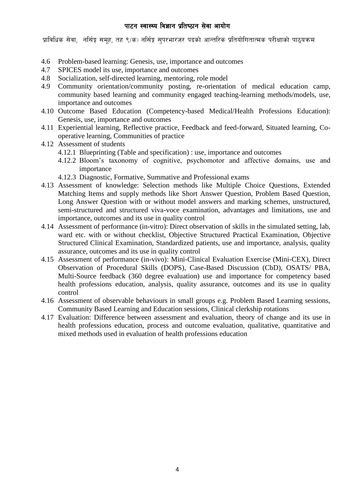प्राविधिक सेवा, नर्सिङ्ग समूह, तह ९(क) नर्सिङ्ग सुपरभारजर पदको आन्तरिक प्रतियोगितात्मक परीक्षाको पाठुयक्रम

- 4.6 Problem-based learning: Genesis, use, importance and outcomes
- 4.7 SPICES model its use, importance and outcomes
- 4.8 Socialization, self-directed learning, mentoring, role model
- 4.9 Community orientation/community posting, re-orientation of medical education camp, community based learning and community engaged teaching-learning methods/models, use, importance and outcomes
- 4.10 Outcome Based Education (Competency-based Medical/Health Professions Education): Genesis, use, importance and outcomes
- 4.11 Experiential learning, Reflective practice, Feedback and feed-forward, Situated learning, Cooperative learning, Communities of practice
- 4.12 Assessment of students
	- 4.12.1 Blueprinting (Table and specification) : use, importance and outcomes
	- 4.12.2 Bloom's taxonomy of cognitive, psychomotor and affective domains, use and importance
	- 4.12.3 Diagnostic, Formative, Summative and Professional exams
- 4.13 Assessment of knowledge: Selection methods like Multiple Choice Questions, Extended Matching Items and supply methods like Short Answer Question, Problem Based Question, Long Answer Question with or without model answers and marking schemes, unstructured, semi-structured and structured viva-voce examination, advantages and limitations, use and importance, outcomes and its use in quality control
- 4.14 Assessment of performance (in-vitro): Direct observation of skills in the simulated setting, lab, ward etc. with or without checklist, Objective Structured Practical Examination, Objective Structured Clinical Examination, Standardized patients, use and importance, analysis, quality assurance, outcomes and its use in quality control
- 4.15 Assessment of performance (in-vivo): Mini-Clinical Evaluation Exercise (Mini-CEX), Direct Observation of Procedural Skills (DOPS), Case-Based Discussion (CbD), OSATS/ PBA, Multi-Source feedback (360 degree evaluation) use and importance for competency based health professions education, analysis, quality assurance, outcomes and its use in quality control
- 4.16 Assessment of observable behaviours in small groups e.g. Problem Based Learning sessions, Community Based Learning and Education sessions, Clinical clerkship rotations
- 4.17 Evaluation: Difference between assessment and evaluation, theory of change and its use in health professions education, process and outcome evaluation, qualitative, quantitative and mixed methods used in evaluation of health professions education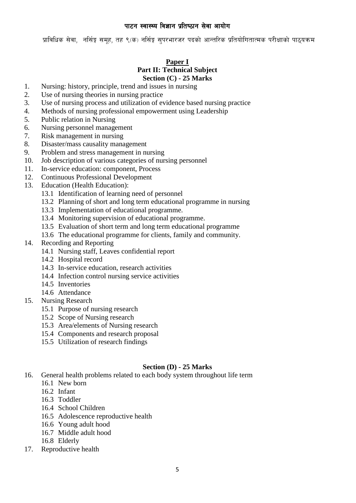प्राविधिक सेवा, नर्सिङ्ग समूह, तह ९(क) नर्सिङ्ग सुपरभारजर पदको आन्तरिक प्रतियोगितात्मक परीक्षाको पाठुयक्रम

# **Paper I**

#### **Part II: Technical Subject Section (C) - 25 Marks**

- 1. Nursing: history, principle, trend and issues in nursing
- 2. Use of nursing theories in nursing practice
- 3. Use of nursing process and utilization of evidence based nursing practice
- 4. Methods of nursing professional empowerment using Leadership
- 5. Public relation in Nursing
- 6. Nursing personnel management
- 7. Risk management in nursing
- 8. Disaster/mass causality management
- 9. Problem and stress management in nursing
- 10. Job description of various categories of nursing personnel
- 11. In-service education: component, Process
- 12. Continuous Professional Development
- 13. Education (Health Education):
	- 13.1 Identification of learning need of personnel
	- 13.2 Planning of short and long term educational programme in nursing
	- 13.3 Implementation of educational programme.
	- 13.4 Monitoring supervision of educational programme.
	- 13.5 Evaluation of short term and long term educational programme
	- 13.6 The educational programme for clients, family and community.
- 14. Recording and Reporting
	- 14.1 Nursing staff, Leaves confidential report
	- 14.2 Hospital record
	- 14.3 In-service education, research activities
	- 14.4 Infection control nursing service activities
	- 14.5 Inventories
	- 14.6 Attendance
- 15. Nursing Research
	- 15.1 Purpose of nursing research
	- 15.2 Scope of Nursing research
	- 15.3 Area/elements of Nursing research
	- 15.4 Components and research proposal
	- 15.5 Utilization of research findings

#### **Section (D) - 25 Marks**

- 16. General health problems related to each body system throughout life term
	- 16.1 New born
	- 16.2 Infant
	- 16.3 Toddler
	- 16.4 School Children
	- 16.5 Adolescence reproductive health
	- 16.6 Young adult hood
	- 16.7 Middle adult hood
	- 16.8 Elderly
- 17. Reproductive health